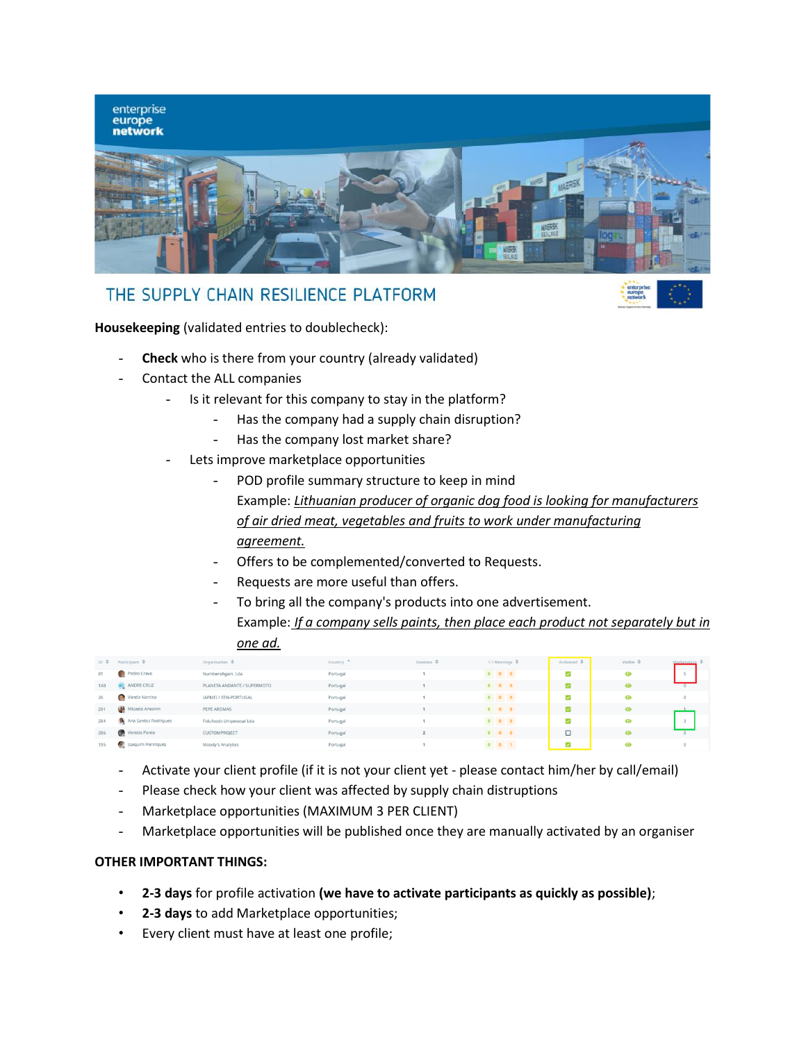

## THE SUPPLY CHAIN RESILIENCE PLATFORM



**Housekeeping** (validated entries to doublecheck):

- **Check** who is there from your country (already validated)
- Contact the ALL companies
	- Is it relevant for this company to stay in the platform?
		- Has the company had a supply chain disruption?
		- Has the company lost market share?
	- Lets improve marketplace opportunities
		- POD profile summary structure to keep in mind Example: *Lithuanian producer of organic dog food is looking for manufacturers of air dried meat, vegetables and fruits to work under manufacturing agreement.*
		- Offers to be complemented/converted to Requests.
		- Requests are more useful than offers.
		- To bring all the company's products into one advertisement. Example: *If a company sells paints, then place each product not separately but in one ad.*

|     | ID $\triangleq$ Participant $\triangleq$ | Organisation $\triangle$    | Country $\triangle$ | Sessions $\Leftrightarrow$ |                   | 1:1 Meetings $\Leftrightarrow$ | $Actual \triangle$       | Visible $\triangleq$ | Marketplace 4 |
|-----|------------------------------------------|-----------------------------|---------------------|----------------------------|-------------------|--------------------------------|--------------------------|----------------------|---------------|
| 81  | Pedro Cravo                              | NumbersAgain, Lda           | Portugal            |                            | $0\quad 0\quad 0$ |                                | $\overline{\mathbf{v}}$  | ◉                    |               |
| 140 | AC ANDRE CRUZ                            | PLANETA ANDANTE / SUPERMOTO | Portugal            |                            | $0\quad 0\quad 0$ |                                | $\overline{\mathbf{v}}$  |                      |               |
| 26  | Vanda Narciso                            | IAPMEI / EEN-PORTUGAL       | Portugal            |                            | $0\quad 0\quad 0$ |                                | $\overline{\phantom{0}}$ | ◉                    | $\Omega$      |
| 291 | Micaela Amorim                           | PEPE AROMAS                 | Portugal            |                            | $0\quad 0\quad 0$ |                                | $\overline{\phantom{0}}$ | $\bullet$            |               |
| 284 | Ana Santos Rodrigues                     | Fidufoods Unipessoal Lda    | Portugal            |                            | $0$ 0 0           |                                | $\overline{\mathbf{v}}$  | ◉                    |               |
| 286 | Venicio Ponte                            | <b>CUSTOMPROJECT</b>        | Portugal            |                            | $0\quad 0\quad 0$ |                                | $\Box$                   | ⋒                    |               |
| 195 | Joaquim Henriques                        | Moody's Analytics           | Portugal            |                            | $0 \t 0 \t 1$     |                                | $\overline{\phantom{0}}$ | ⋒                    |               |

- Activate your client profile (if it is not your client yet please contact him/her by call/email)
- Please check how your client was affected by supply chain distruptions
- Marketplace opportunities (MAXIMUM 3 PER CLIENT)
- Marketplace opportunities will be published once they are manually activated by an organiser

## **OTHER IMPORTANT THINGS:**

- **2-3 days** for profile activation **(we have to activate participants as quickly as possible)**;
- **2-3 days** to add Marketplace opportunities;
- Every client must have at least one profile;